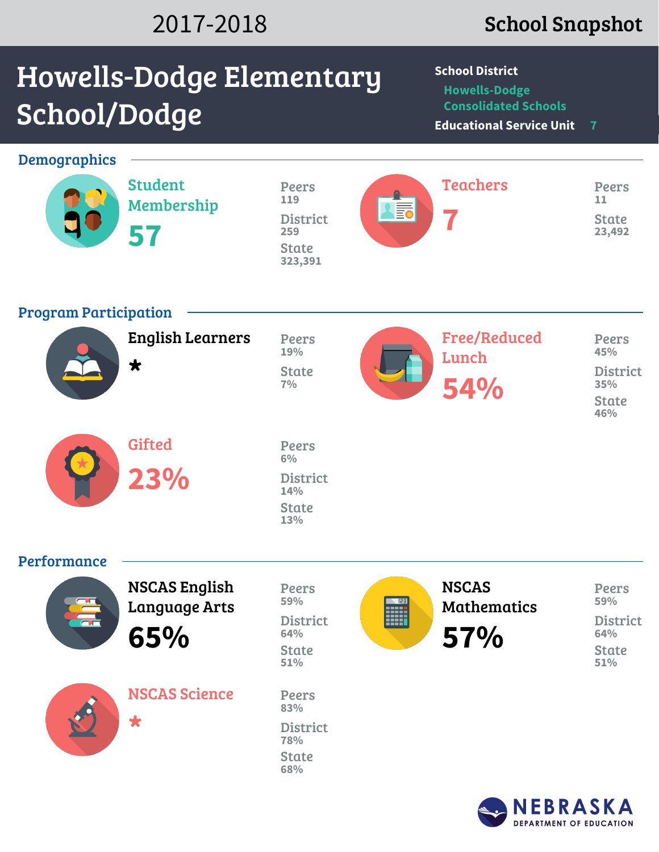## 2017-2018 School Snapshot

**DEPARTMENT OF EDUCATION** 

# Howells-Dodge Elementary School/Dodge

**School District**

**Howells-Dodge Consolidated Schools**

**Educational Service Unit 7**

| <b>Demographics</b>                             |                                                     |                                                                          |                            |                                           |                                                                      |
|-------------------------------------------------|-----------------------------------------------------|--------------------------------------------------------------------------|----------------------------|-------------------------------------------|----------------------------------------------------------------------|
|                                                 | <b>Student</b><br>Membership<br>57                  | <b>Peers</b><br>119<br><b>District</b><br>259<br><b>State</b><br>323,391 | <b>AB</b>                  | <b>Teachers</b>                           | <b>Peers</b><br>11<br><b>State</b><br>23,492                         |
| <b>Program Participation</b>                    |                                                     |                                                                          |                            |                                           |                                                                      |
|                                                 | <b>English Learners</b><br>$\bigstar$               | Peers<br>19%<br><b>State</b><br>7%                                       |                            | <b>Free/Reduced</b><br>Lunch<br>54%       | <b>Peers</b><br>45%<br><b>District</b><br>35%<br><b>State</b><br>46% |
|                                                 | <b>Gifted</b><br>23%                                | Peers<br>6%<br><b>District</b><br>14%<br><b>State</b><br>13%             |                            |                                           |                                                                      |
| Performance                                     |                                                     |                                                                          |                            |                                           |                                                                      |
| $\frac{1}{\sqrt{2}}$<br>$\overline{\mathbf{a}}$ | <b>NSCAS English</b><br><b>Language Arts</b><br>65% | Peers<br>59%<br><b>District</b><br>64%<br><b>State</b><br>51%            | $\sqrt{153}$<br><b>FOR</b> | <b>NSCAS</b><br><b>Mathematics</b><br>57% | <b>Peers</b><br>59%<br><b>District</b><br>64%<br><b>State</b><br>51% |
|                                                 | <b>NSCAS Science</b><br>$\bigstar$                  | Peers<br>83%<br><b>District</b><br>78%<br><b>State</b><br>68%            |                            |                                           |                                                                      |
|                                                 | NEBRASKA                                            |                                                                          |                            |                                           |                                                                      |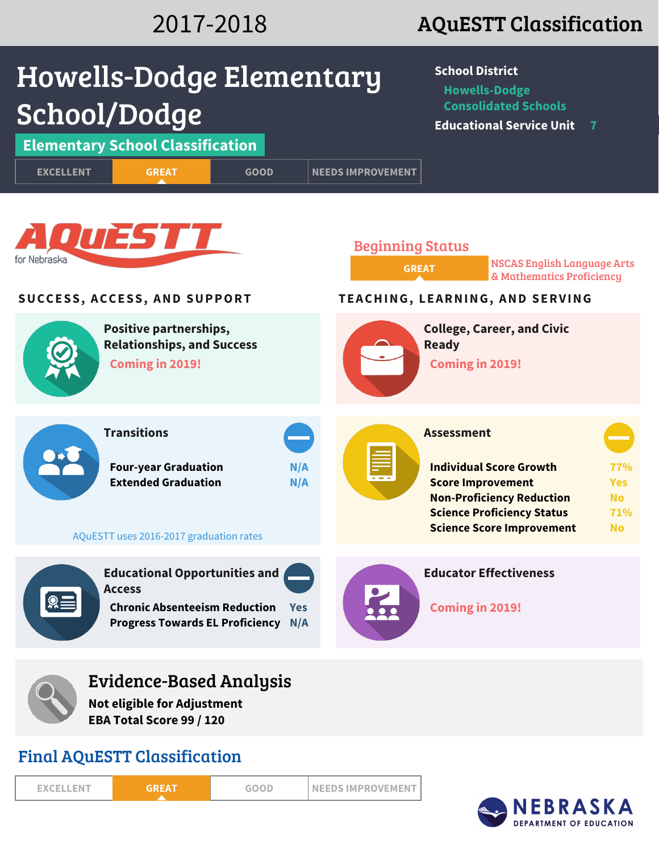### 2017-2018 AQuESTT Classification



Final AQuESTT Classification